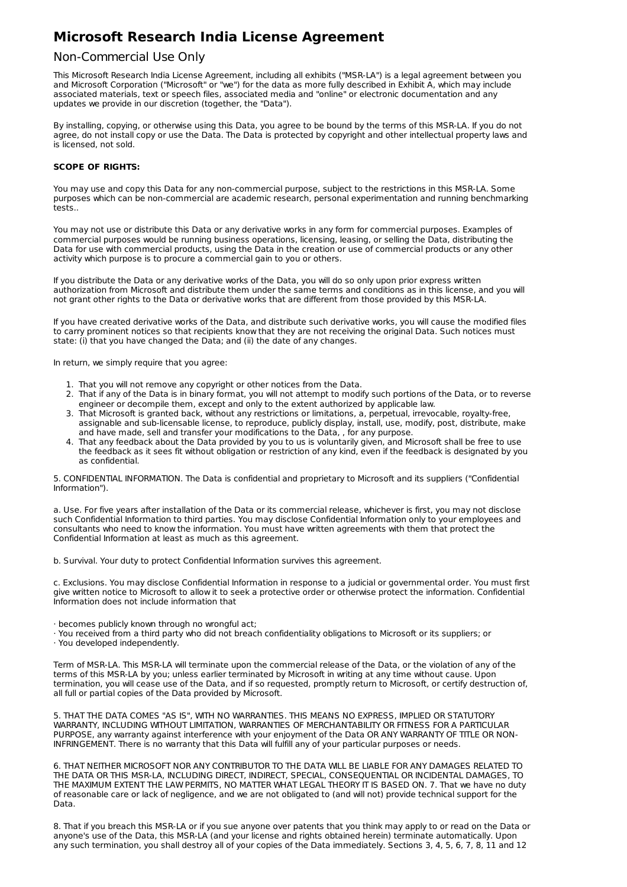# **Microsoft Research India License Agreement**

# Non-Commercial Use Only

This Microsoft Research India License Agreement, including all exhibits ("MSR-LA") is a legal agreement between you and Microsoft Corporation ("Microsoft" or "we") for the data as more fully described in Exhibit A, which may include associated materials, text or speech files, associated media and "online" or electronic documentation and any updates we provide in our discretion (together, the "Data").

By installing, copying, or otherwise using this Data, you agree to be bound by the terms of this MSR-LA. If you do not agree, do not install copy or use the Data. The Data is protected by copyright and other intellectual property laws and is licensed, not sold.

## **SCOPE OF RIGHTS:**

You may use and copy this Data for any non-commercial purpose, subject to the restrictions in this MSR-LA. Some purposes which can be non-commercial are academic research, personal experimentation and running benchmarking tests..

You may not use or distribute this Data or any derivative works in any form for commercial purposes. Examples of commercial purposes would be running business operations, licensing, leasing, or selling the Data, distributing the Data for use with commercial products, using the Data in the creation or use of commercial products or any other activity which purpose is to procure a commercial gain to you or others.

If you distribute the Data or any derivative works of the Data, you will do so only upon prior express written authorization from Microsoft and distribute them under the same terms and conditions as in this license, and you will not grant other rights to the Data or derivative works that are different from those provided by this MSR-LA.

If you have created derivative works of the Data, and distribute such derivative works, you will cause the modified files to carry prominent notices so that recipients know that they are not receiving the original Data. Such notices must state: (i) that you have changed the Data; and (ii) the date of any changes.

In return, we simply require that you agree:

- 1. That you will not remove any copyright or other notices from the Data.
- 2. That if any of the Data is in binary format, you will not attempt to modify such portions of the Data, or to reverse engineer or decompile them, except and only to the extent authorized by applicable law.
- 3. That Microsoft is granted back, without any restrictions or limitations, a, perpetual, irrevocable, royalty-free, assignable and sub-licensable license, to reproduce, publicly display, install, use, modify, post, distribute, make and have made, sell and transfer your modifications to the Data, , for any purpose.
- 4. That any feedback about the Data provided by you to us is voluntarily given, and Microsoft shall be free to use the feedback as it sees fit without obligation or restriction of any kind, even if the feedback is designated by you as confidential.

5. CONFIDENTIAL INFORMATION. The Data is confidential and proprietary to Microsoft and its suppliers ("Confidential Information").

a. Use. For five years after installation of the Data or its commercial release, whichever is first, you may not disclose such Confidential Information to third parties. You may disclose Confidential Information only to your employees and consultants who need to know the information. You must have written agreements with them that protect the Confidential Information at least as much as this agreement.

b. Survival. Your duty to protect Confidential Information survives this agreement.

c. Exclusions. You may disclose Confidential Information in response to a judicial or governmental order. You must first give written notice to Microsoft to allow it to seek a protective order or otherwise protect the information. Confidential Information does not include information that

· becomes publicly known through no wrongful act;

· You received from a third party who did not breach confidentiality obligations to Microsoft or its suppliers; or

· You developed independently.

Term of MSR-LA. This MSR-LA will terminate upon the commercial release of the Data, or the violation of any of the terms of this MSR-LA by you; unless earlier terminated by Microsoft in writing at any time without cause. Upon termination, you will cease use of the Data, and if so requested, promptly return to Microsoft, or certify destruction of, all full or partial copies of the Data provided by Microsoft.

5. THAT THE DATA COMES "AS IS", WITH NO WARRANTIES. THIS MEANS NO EXPRESS, IMPLIED OR STATUTORY WARRANTY, INCLUDING WITHOUT LIMITATION, WARRANTIES OF MERCHANTABILITY OR FITNESS FOR A PARTICULAR PURPOSE, any warranty against interference with your enjoyment of the Data OR ANY WARRANTY OF TITLE OR NON-INFRINGEMENT. There is no warranty that this Data will fulfill any of your particular purposes or needs.

6. THAT NEITHER MICROSOFT NOR ANY CONTRIBUTOR TO THE DATA WILL BE LIABLE FOR ANY DAMAGES RELATED TO THE DATA OR THIS MSR-LA, INCLUDING DIRECT, INDIRECT, SPECIAL, CONSEQUENTIAL OR INCIDENTAL DAMAGES, TO THE MAXIMUM EXTENT THE LAW PERMITS, NO MATTER WHAT LEGAL THEORY IT IS BASED ON. 7. That we have no duty of reasonable care or lack of negligence, and we are not obligated to (and will not) provide technical support for the Data.

8. That if you breach this MSR-LA or if you sue anyone over patents that you think may apply to or read on the Data or anyone's use of the Data, this MSR-LA (and your license and rights obtained herein) terminate automatically. Upon any such termination, you shall destroy all of your copies of the Data immediately. Sections 3, 4, 5, 6, 7, 8, 11 and 12